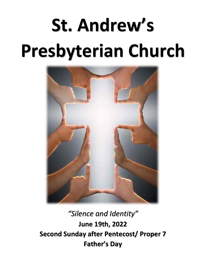# **St. Andrew's Presbyterian Church**



*"Silence and Identity"* **June 19th, 2022 Second Sunday after Pentecost/ Proper 7 Father's Day**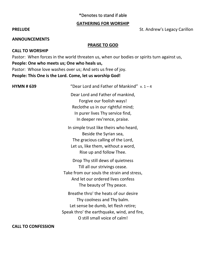# \*Denotes to stand if able

## **GATHERING FOR WORSHIP**

# **PRELUDE St. Andrew's Legacy Carillon**

#### **ANNOUNCEMENTS**

# **PRAISE TO GOD**

# **CALL TO WORSHIP**

Pastor: When forces in the world threaten us, when our bodies or spirits turn against us, **People: One who meets us; One who heals us,**  Pastor: Whose love washes over us; And sets us free of joy. **People: This One is the Lord. Come, let us worship God!**

| <b>HYMN #639</b> | "Dear Lord and Father of Mankind" $v. 1 - 4$                                                                                                                                               |
|------------------|--------------------------------------------------------------------------------------------------------------------------------------------------------------------------------------------|
|                  | Dear Lord and Father of mankind,<br>Forgive our foolish ways!<br>Reclothe us in our rightful mind;<br>In purer lives Thy service find,<br>In deeper rev'rence, praise.                     |
|                  | In simple trust like theirs who heard,<br>Beside the Syrian sea,<br>The gracious calling of the Lord,<br>Let us, like them, without a word,<br>Rise up and follow Thee.                    |
|                  | Drop Thy still dews of quietness<br>Till all our strivings cease.<br>Take from our souls the strain and stress,<br>And let our ordered lives confess<br>The beauty of Thy peace.           |
|                  | Breathe thro' the heats of our desire<br>Thy coolness and Thy balm.<br>Let sense be dumb, let flesh retire;<br>Speak thro' the earthquake, wind, and fire,<br>O still small voice of calm! |

**CALL TO CONFESSION**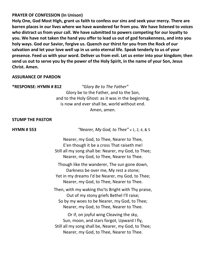# **PRAYER OF CONFESSION (In Unison)**

**Holy One, God Most High, grant us faith to confess our sins and seek your mercy. There are barren places in our lives where we have wandered far from you. We have listened to voices who distract us from your call. We have submitted to powers competing for our loyalty to you. We have not taken the hand you offer to lead us out of god forsakenness, and into you holy ways. God our Savior, forgive us. Quench our thirst for you from the Rock of our salvation and let your love well up in us unto eternal life. Speak tenderly to us of your presence. Feed us with your word. Deliver us from evil. Let us enter into your kingdom; then send us out to serve you by the power of the Holy Spirit, in the name of your Son, Jesus Christ. Amen.**

## **ASSURANCE OF PARDON**

#### **\*RESPONSE: HYMN # 812** *"Glory Be to The Father"*

Glory be to the Father, and to the Son, and to the Holy Ghost: as it was in the beginning, is now and ever shall be, world without end. Amen, amen.

## **STUMP THE PASTOR**

**HYMN # 553** *"Nearer, My God, to Thee"* v 1, 2, 4, & 5

Nearer, my God, to Thee, Nearer to Thee, E'en though it be a cross That raiseth me! Still all my song shall be: Nearer, my God, to Thee; Nearer, my God, to Thee, Nearer to Thee.

Though like the wanderer, The sun gone down, Darkness be over me, My rest a stone; Yet in my dreams I'd be Nearer, my God, to Thee; Nearer, my God, to Thee, Nearer to Thee.

Then, with my waking tho'ts Bright with Thy praise, Out of my stony griefs Bethel I'll raise; So by my woes to be Nearer, my God, to Thee; Nearer, my God, to Thee, Nearer to Thee.

Or if, on joyful wing Cleaving the sky, Sun, moon, and stars forgot, Upward I fly, Still all my song shall be, Nearer, my God, to Thee; Nearer, my God, to Thee, Nearer to Thee.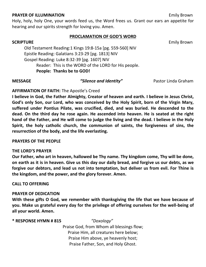#### **PRAYER OF ILLUMINATION Emily Brown**

Holy, holy, holy One, your words feed us, the Word frees us. Grant our ears an appetite for hearing and our spirits strength for loving you. Amen.

#### **PROCLAMATION OF GOD'S WORD**

**SCRIPTURE** Emily Brown Old Testament Reading:1 Kings 19:8-15a [pg. 559-560] NIV Epistle Reading: Galatians 3:23-29 [pg. 1813] NIV Gospel Reading: Luke 8:32-39 [pg. 1607] NIV Reader: This is the WORD of the LORD for His people. **People: Thanks be to GOD!**

**MESSAGE** *"Silence and Identity"* Pastor Linda Graham

## **AFFIRMATION OF FAITH:** The Apostle's Creed

**I believe in God, the Father Almighty, Creator of heaven and earth. I believe in Jesus Christ, God's only Son, our Lord, who was conceived by the Holy Spirit, born of the Virgin Mary, suffered under Pontius Pilate, was crucified, died, and was buried. He descended to the dead. On the third day he rose again. He ascended into heaven. He is seated at the right hand of the Father, and He will come to judge the living and the dead. I believe in the Holy Spirit, the holy catholic church, the communion of saints, the forgiveness of sins, the resurrection of the body, and the life everlasting.**

## **PRAYERS OF THE PEOPLE**

## **THE LORD'S PRAYER**

**Our Father, who art in heaven, hallowed be Thy name. Thy kingdom come, Thy will be done, on earth as it is in heaven. Give us this day our daily bread, and forgive us our debts, as we forgive our debtors, and lead us not into temptation, but deliver us from evil. For Thine is the kingdom, and the power, and the glory forever. Amen.**

# **CALL TO OFFERING**

## **PRAYER OF DEDICATION**

**With these gifts O God, we remember with thanksgiving the life that we have because of you. Make us grateful every day for the privilege of offering ourselves for the well-being of all your world. Amen.**

## **\* RESPONSE HYMN # 815** *"Doxology"*

Praise God, from Whom all blessings flow; Praise Him, all creatures here below; Praise Him above, ye heavenly host; Praise Father, Son, and Holy Ghost.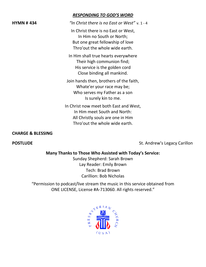|                  | <b>RESPONDING TO GOD'S WORD</b>                                                                                                               |
|------------------|-----------------------------------------------------------------------------------------------------------------------------------------------|
| <b>HYMN #434</b> | "In Christ there is no East or West" $v. 1 - 4$                                                                                               |
|                  | In Christ there is no East or West,<br>In Him no South or North;<br>But one great fellowship of love<br>Thro'out the whole wide earth.        |
|                  | In Him shall true hearts everywhere<br>Their high communion find;<br>His service is the golden cord<br>Close binding all mankind.             |
|                  | Join hands then, brothers of the faith,<br>Whate'er your race may be;<br>Who serves my Father as a son<br>Is surely kin to me.                |
|                  | In Christ now meet both East and West,<br>In Him meet South and North:<br>All Christly souls are one in Him<br>Thro'out the whole wide earth. |

## **CHARGE & BLESSING**

**POSTLUDE POSTLUDE St. Andrew's Legacy Carillon** 

# **Many Thanks to Those Who Assisted with Today's Service:**

Sunday Shepherd: Sarah Brown Lay Reader: Emily Brown Tech: Brad Brown Carillion: Bob Nicholas

"Permission to podcast/live stream the music in this service obtained from ONE LICENSE, License #A-713060. All rights reserved."